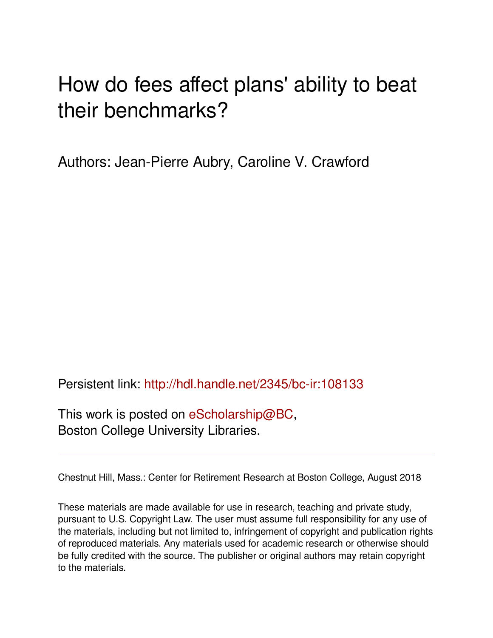# How do fees affect plans' ability to beat their benchmarks?

Authors: Jean-Pierre Aubry, Caroline V. Crawford

Persistent link: <http://hdl.handle.net/2345/bc-ir:108133>

This work is posted on [eScholarship@BC](http://escholarship.bc.edu), Boston College University Libraries.

Chestnut Hill, Mass.: Center for Retirement Research at Boston College, August 2018

These materials are made available for use in research, teaching and private study, pursuant to U.S. Copyright Law. The user must assume full responsibility for any use of the materials, including but not limited to, infringement of copyright and publication rights of reproduced materials. Any materials used for academic research or otherwise should be fully credited with the source. The publisher or original authors may retain copyright to the materials.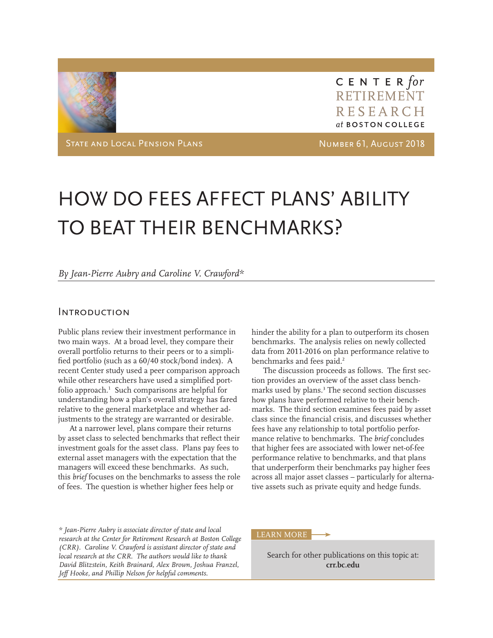

CENTER for RETIREMENT RESEARCH at BOSTON COLLEGE

State and Local Pension Plans Number 61, August 2018

# HOW DO FEES AFFECT PLANS' ABILITY TO BEAT THEIR BENCHMARKS?

#### *By Jean-Pierre Aubry and Caroline V. Crawford\**

#### **INTRODUCTION**

Public plans review their investment performance in two main ways. At a broad level, they compare their overall portfolio returns to their peers or to a simplifed portfolio (such as a 60/40 stock/bond index). A recent Center study used a peer comparison approach while other researchers have used a simplifed portfolio approach.<sup>1</sup> Such comparisons are helpful for understanding how a plan's overall strategy has fared relative to the general marketplace and whether adjustments to the strategy are warranted or desirable.

At a narrower level, plans compare their returns by asset class to selected benchmarks that refect their investment goals for the asset class. Plans pay fees to external asset managers with the expectation that the managers will exceed these benchmarks. As such, this *brief* focuses on the benchmarks to assess the role of fees. The question is whether higher fees help or

hinder the ability for a plan to outperform its chosen benchmarks. The analysis relies on newly collected data from 2011-2016 on plan performance relative to benchmarks and fees paid.<sup>2</sup>

The discussion proceeds as follows. The frst section provides an overview of the asset class benchmarks used by plans.3 The second section discusses how plans have performed relative to their benchmarks. The third section examines fees paid by asset class since the fnancial crisis, and discusses whether fees have any relationship to total portfolio performance relative to benchmarks. The *brief* concludes that higher fees are associated with lower net-of-fee performance relative to benchmarks, and that plans that underperform their benchmarks pay higher fees across all major asset classes – particularly for alternative assets such as private equity and hedge funds.

*\* Jean-Pierre Aubry is associate director of state and local research at the Center for Retirement Research at Boston College (CRR). Caroline V. Crawford is assistant director of state and local research at the CRR. The authors would like to thank David Blitzstein, Keith Brainard, Alex Brown, Joshua Franzel, Jef Hooke, and Phillip Nelson for helpful comments.*

#### LEARN MORE

Search for other publications on this topic at: **crr.bc.edu**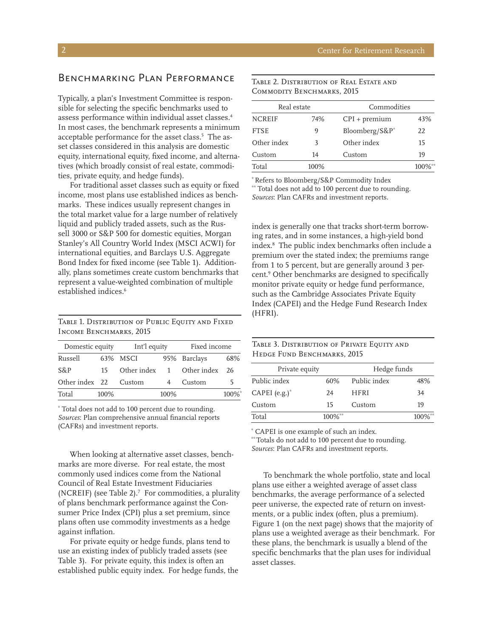## Benchmarking Plan Performance

 assess performance within individual asset classes.4 Typically, a plan's Investment Committee is responsible for selecting the specifc benchmarks used to In most cases, the benchmark represents a minimum acceptable performance for the asset class.<sup>5</sup> The asset classes considered in this analysis are domestic equity, international equity, fxed income, and alternatives (which broadly consist of real estate, commodities, private equity, and hedge funds).

For traditional asset classes such as equity or fxed income, most plans use established indices as benchmarks. These indices usually represent changes in the total market value for a large number of relatively liquid and publicly traded assets, such as the Russell 3000 or S&P 500 for domestic equities, Morgan Stanley's All Country World Index (MSCI ACWI) for international equities, and Barclays U.S. Aggregate Bond Index for fxed income (see Table 1). Additionally, plans sometimes create custom benchmarks that represent a value-weighted combination of multiple established indices.<sup>6</sup>

TABLE 1. DISTRIBUTION OF PUBLIC EQUITY AND FIXED INCOME BENCHMARKS, 2015

| Domestic equity |      | Int'l equity |      | Fixed income  |       |
|-----------------|------|--------------|------|---------------|-------|
| Russell         |      | 63% MSCI     |      | 95% Barclays  | 68%   |
| S&P             | 15   | Other index  |      | 1 Other index | 26    |
| Other index 22  |      | Custom       |      | Custom        |       |
| Total           | 100% |              | 100% |               | 100%* |

\* Total does not add to 100 percent due to rounding. *Sources*: Plan comprehensive annual fnancial reports (CAFRs) and investment reports.

When looking at alternative asset classes, benchmarks are more diverse. For real estate, the most commonly used indices come from the National Council of Real Estate Investment Fiduciaries (NCREIF) (see Table 2). $<sup>7</sup>$  For commodities, a plurality</sup> of plans benchmark performance against the Consumer Price Index (CPI) plus a set premium, since plans often use commodity investments as a hedge against infation.

For private equity or hedge funds, plans tend to use an existing index of publicly traded assets (see Table 3). For private equity, this index is often an established public equity index. For hedge funds, the

| Table 2. Distribution of Real Estate and |  |
|------------------------------------------|--|
| COMMODITY BENCHMARKS, 2015               |  |

| Real estate   |      | Commodities         |        |  |
|---------------|------|---------------------|--------|--|
| <b>NCREIF</b> | 74%  | $CPI + premium$     | 43%    |  |
| <b>FTSE</b>   | 9    | Bloomberg/ $S\&P^*$ | 22     |  |
| Other index   | 3    | Other index         | 15     |  |
| Custom        | 14   | Custom              | 19     |  |
| Total         | 100% |                     | 100%** |  |

\* Refers to Bloomberg/S&P Commodity Index

\*\* Total does not add to 100 percent due to rounding. *Sources*: Plan CAFRs and investment reports.

index is generally one that tracks short-term borrowing rates, and in some instances, a high-yield bond index.8 The public index benchmarks often include a premium over the stated index; the premiums range from 1 to 5 percent, but are generally around 3 percent.9 Other benchmarks are designed to specifcally monitor private equity or hedge fund performance, such as the Cambridge Associates Private Equity Index (CAPEI) and the Hedge Fund Research Index (HFRI).

| TABLE 3. DISTRIBUTION OF PRIVATE EQUITY AND |
|---------------------------------------------|
| HEDGE FUND BENCHMARKS, 2015                 |

| Private equity   |        | Hedge funds  |              |
|------------------|--------|--------------|--------------|
| Public index     | 60%    | Public index | 48%          |
| CAPEI $(e.g.)^*$ | 24     | <b>HFRI</b>  | 34           |
| Custom           | 15     | Custom       | 19           |
| Total            | 100%** |              | $100\%^{**}$ |

\* CAPEI is one example of such an index.

\*\* Totals do not add to 100 percent due to rounding. *Sources*: Plan CAFRs and investment reports.

To benchmark the whole portfolio, state and local plans use either a weighted average of asset class benchmarks, the average performance of a selected peer universe, the expected rate of return on investments, or a public index (often, plus a premium). Figure 1 (on the next page) shows that the majority of plans use a weighted average as their benchmark. For these plans, the benchmark is usually a blend of the specifc benchmarks that the plan uses for individual asset classes.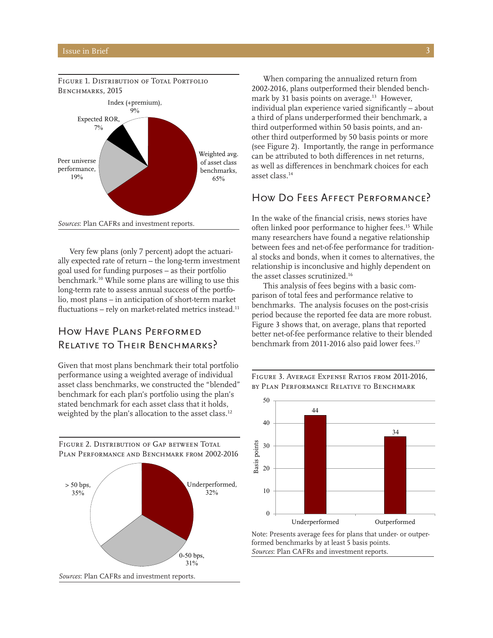

FIGURE 1. DISTRIBUTION OF TOTAL PORTFOLIO

Very few plans (only 7 percent) adopt the actuarially expected rate of return – the long-term investment goal used for funding purposes – as their portfolio benchmark.10 While some plans are willing to use this long-term rate to assess annual success of the portfolio, most plans – in anticipation of short-term market fluctuations - rely on market-related metrics instead.<sup>11</sup>

## How Have Plans PERFORMED RELATIVE TO THEIR BENCHMARKS?

Given that most plans benchmark their total portfolio performance using a weighted average of individual asset class benchmarks, we constructed the "blended" benchmark for each plan's portfolio using the plan's stated benchmark for each asset class that it holds, weighted by the plan's allocation to the asset class.<sup>12</sup>

FIGURE 2. DISTRIBUTION OF GAP BETWEEN TOTAL PLAN PERFORMANCE AND BENCHMARK FROM 2002-2016



When comparing the annualized return from 2002-2016, plans outperformed their blended benchmark by 31 basis points on average.<sup>13</sup> However, individual plan experience varied signifcantly – about a third of plans underperformed their benchmark, a third outperformed within 50 basis points, and another third outperformed by 50 basis points or more (see Figure 2). Importantly, the range in performance can be attributed to both diferences in net returns, as well as diferences in benchmark choices for each asset class.14

### How Do Fees Affect Performance?

 the asset classes scrutinized.16 In the wake of the fnancial crisis, news stories have often linked poor performance to higher fees.15 While many researchers have found a negative relationship between fees and net-of-fee performance for traditional stocks and bonds, when it comes to alternatives, the relationship is inconclusive and highly dependent on

This analysis of fees begins with a basic comparison of total fees and performance relative to benchmarks. The analysis focuses on the post-crisis period because the reported fee data are more robust. Figure 3 shows that, on average, plans that reported better net-of-fee performance relative to their blended benchmark from 2011-2016 also paid lower fees.<sup>17</sup>





Note: Presents average fees for plans that under- or outperformed benchmarks by at least 5 basis points. *Sources*: Plan CAFRs and investment reports.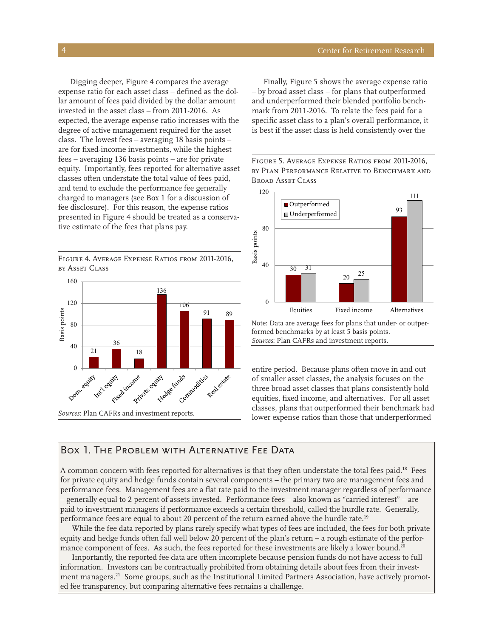Digging deeper, Figure 4 compares the average expense ratio for each asset class – defned as the dollar amount of fees paid divided by the dollar amount invested in the asset class – from 2011-2016. As expected, the average expense ratio increases with the degree of active management required for the asset class. The lowest fees – averaging 18 basis points – are for fxed-income investments, while the highest fees – averaging 136 basis points – are for private equity. Importantly, fees reported for alternative asset classes often understate the total value of fees paid, and tend to exclude the performance fee generally charged to managers (see Box 1 for a discussion of fee disclosure). For this reason, the expense ratios presented in Figure 4 should be treated as a conserva tive estimate of the fees that plans pay.

Figure 4. Average Expense Ratios from 2011-2016, by Asset Class



Finally, Figure 5 shows the average expense ratio – by broad asset class – for plans that outperformed and underperformed their blended portfolio benchmark from 2011-2016. To relate the fees paid for a specifc asset class to a plan's overall performance, it is best if the asset class is held consistently over the

Figure 5. Average Expense Ratios from 2011-2016, by PLAN PERFORMANCE RELATIVE TO BENCHMARK AND Broad Asset Class



Note: Data are average fees for plans that under- or outperformed benchmarks by at least 5 basis points. *Sources*: Plan CAFRs and investment reports.

entire period. Because plans often move in and out of smaller asset classes, the analysis focuses on the three broad asset classes that plans consistently hold – equities, fxed income, and alternatives. For all asset classes, plans that outperformed their benchmark had lower expense ratios than those that underperformed

#### BOX 1. The Problem with Alternative Fee Data

performance fees are equal to about 20 percent of the return earned above the hurdle rate.<sup>19</sup> A common concern with fees reported for alternatives is that they often understate the total fees paid.<sup>18</sup> Fees for private equity and hedge funds contain several components – the primary two are management fees and performance fees. Management fees are a fat rate paid to the investment manager regardless of performance – generally equal to 2 percent of assets invested. Performance fees – also known as "carried interest" – are paid to investment managers if performance exceeds a certain threshold, called the hurdle rate. Generally,

While the fee data reported by plans rarely specify what types of fees are included, the fees for both private equity and hedge funds often fall well below 20 percent of the plan's return – a rough estimate of the performance component of fees. As such, the fees reported for these investments are likely a lower bound.<sup>20</sup>

Importantly, the reported fee data are often incomplete because pension funds do not have access to full information. Investors can be contractually prohibited from obtaining details about fees from their investment managers.<sup>21</sup> Some groups, such as the Institutional Limited Partners Association, have actively promoted fee transparency, but comparing alternative fees remains a challenge.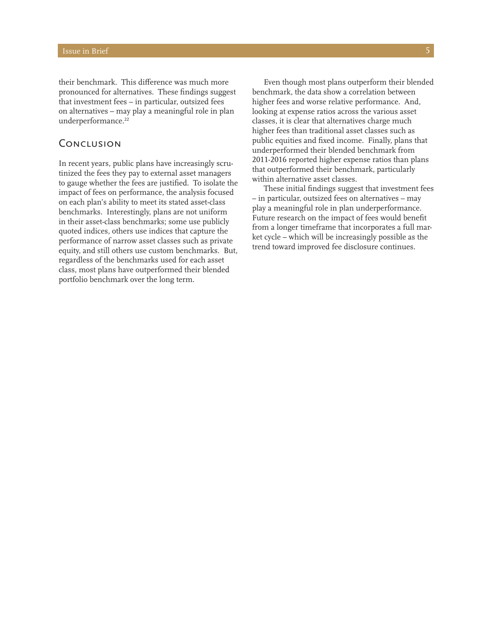their benchmark. This diference was much more pronounced for alternatives. These fndings suggest that investment fees – in particular, outsized fees on alternatives – may play a meaningful role in plan underperformance.<sup>22</sup>

#### **CONCLUSION**

In recent years, public plans have increasingly scrutinized the fees they pay to external asset managers to gauge whether the fees are justifed. To isolate the impact of fees on performance, the analysis focused on each plan's ability to meet its stated asset-class benchmarks. Interestingly, plans are not uniform in their asset-class benchmarks; some use publicly quoted indices, others use indices that capture the performance of narrow asset classes such as private equity, and still others use custom benchmarks. But, regardless of the benchmarks used for each asset class, most plans have outperformed their blended portfolio benchmark over the long term.

Even though most plans outperform their blended benchmark, the data show a correlation between higher fees and worse relative performance. And, looking at expense ratios across the various asset classes, it is clear that alternatives charge much higher fees than traditional asset classes such as public equities and fxed income. Finally, plans that underperformed their blended benchmark from 2011-2016 reported higher expense ratios than plans that outperformed their benchmark, particularly within alternative asset classes.

These initial fndings suggest that investment fees – in particular, outsized fees on alternatives – may play a meaningful role in plan underperformance. Future research on the impact of fees would beneft from a longer timeframe that incorporates a full market cycle – which will be increasingly possible as the trend toward improved fee disclosure continues.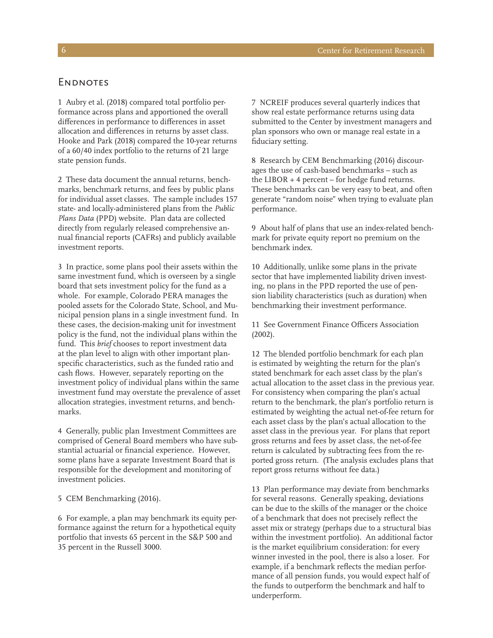1 Aubry et al. (2018) compared total portfolio performance across plans and apportioned the overall diferences in performance to diferences in asset allocation and diferences in returns by asset class. Hooke and Park (2018) compared the 10-year returns of a 60/40 index portfolio to the returns of 21 large state pension funds.

2 These data document the annual returns, benchmarks, benchmark returns, and fees by public plans for individual asset classes. The sample includes 157 state- and locally-administered plans from the *Public Plans Data* (PPD) website. Plan data are collected directly from regularly released comprehensive annual fnancial reports (CAFRs) and publicly available investment reports.

3 In practice, some plans pool their assets within the same investment fund, which is overseen by a single board that sets investment policy for the fund as a whole. For example, Colorado PERA manages the pooled assets for the Colorado State, School, and Municipal pension plans in a single investment fund. In these cases, the decision-making unit for investment policy is the fund, not the individual plans within the fund. This *brief* chooses to report investment data at the plan level to align with other important planspecifc characteristics, such as the funded ratio and cash fows. However, separately reporting on the investment policy of individual plans within the same investment fund may overstate the prevalence of asset allocation strategies, investment returns, and benchmarks.

4 Generally, public plan Investment Committees are comprised of General Board members who have substantial actuarial or fnancial experience. However, some plans have a separate Investment Board that is responsible for the development and monitoring of investment policies.

#### 5 CEM Benchmarking (2016).

6 For example, a plan may benchmark its equity performance against the return for a hypothetical equity portfolio that invests 65 percent in the S&P 500 and 35 percent in the Russell 3000.

7 NCREIF produces several quarterly indices that show real estate performance returns using data submitted to the Center by investment managers and plan sponsors who own or manage real estate in a fduciary setting.

8 Research by CEM Benchmarking (2016) discourages the use of cash-based benchmarks – such as the LIBOR + 4 percent – for hedge fund returns. These benchmarks can be very easy to beat, and often generate "random noise" when trying to evaluate plan performance.

9 About half of plans that use an index-related benchmark for private equity report no premium on the benchmark index.

10 Additionally, unlike some plans in the private sector that have implemented liability driven investing, no plans in the PPD reported the use of pension liability characteristics (such as duration) when benchmarking their investment performance.

11 See Government Finance Officers Association (2002).

12 The blended portfolio benchmark for each plan is estimated by weighting the return for the plan's stated benchmark for each asset class by the plan's actual allocation to the asset class in the previous year. For consistency when comparing the plan's actual return to the benchmark, the plan's portfolio return is estimated by weighting the actual net-of-fee return for each asset class by the plan's actual allocation to the asset class in the previous year. For plans that report gross returns and fees by asset class, the net-of-fee return is calculated by subtracting fees from the reported gross return. (The analysis excludes plans that report gross returns without fee data.)

13 Plan performance may deviate from benchmarks for several reasons. Generally speaking, deviations can be due to the skills of the manager or the choice of a benchmark that does not precisely refect the asset mix or strategy (perhaps due to a structural bias within the investment portfolio). An additional factor is the market equilibrium consideration: for every winner invested in the pool, there is also a loser. For example, if a benchmark refects the median performance of all pension funds, you would expect half of the funds to outperform the benchmark and half to underperform.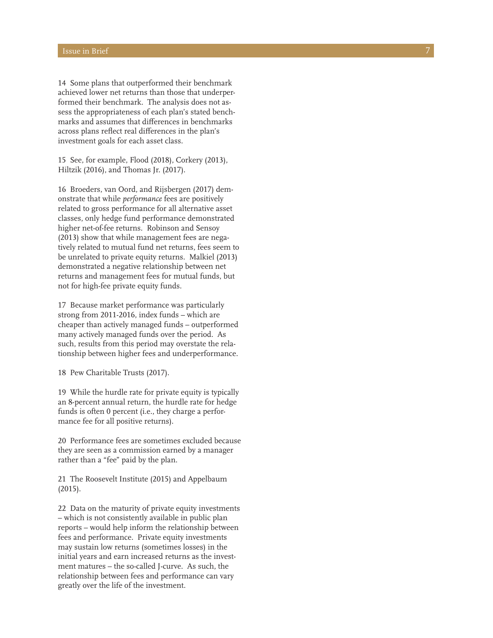14 Some plans that outperformed their benchmark achieved lower net returns than those that underperformed their benchmark. The analysis does not assess the appropriateness of each plan's stated benchmarks and assumes that diferences in benchmarks across plans refect real diferences in the plan's investment goals for each asset class.

15 See, for example, Flood (2018), Corkery (2013), Hiltzik (2016), and Thomas Jr. (2017).

16 Broeders, van Oord, and Rijsbergen (2017) demonstrate that while *performance* fees are positively related to gross performance for all alternative asset classes, only hedge fund performance demonstrated higher net-of-fee returns. Robinson and Sensoy (2013) show that while management fees are negatively related to mutual fund net returns, fees seem to be unrelated to private equity returns. Malkiel (2013) demonstrated a negative relationship between net returns and management fees for mutual funds, but not for high-fee private equity funds.

17 Because market performance was particularly strong from 2011-2016, index funds – which are cheaper than actively managed funds – outperformed many actively managed funds over the period. As such, results from this period may overstate the relationship between higher fees and underperformance.

18 Pew Charitable Trusts (2017).

19 While the hurdle rate for private equity is typically an 8-percent annual return, the hurdle rate for hedge funds is often 0 percent (i.e., they charge a performance fee for all positive returns).

20 Performance fees are sometimes excluded because they are seen as a commission earned by a manager rather than a "fee" paid by the plan.

21 The Roosevelt Institute (2015) and Appelbaum (2015).

22 Data on the maturity of private equity investments – which is not consistently available in public plan reports – would help inform the relationship between fees and performance. Private equity investments may sustain low returns (sometimes losses) in the initial years and earn increased returns as the investment matures – the so-called J-curve. As such, the relationship between fees and performance can vary greatly over the life of the investment.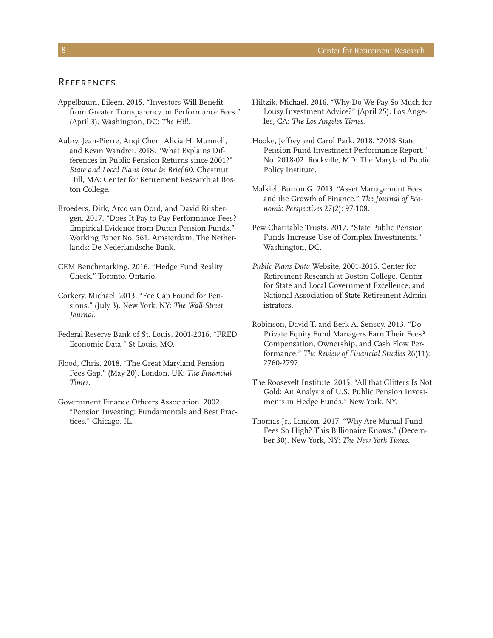#### **REFERENCES**

- Appelbaum, Eileen. 2015. "Investors Will Beneft from Greater Transparency on Performance Fees." (April 3). Washington, DC: *The Hill*.
- Aubry, Jean-Pierre, Anqi Chen, Alicia H. Munnell, and Kevin Wandrei. 2018. "What Explains Differences in Public Pension Returns since 2001?" *State and Local Plans Issue in Brief* 60. Chestnut Hill, MA: Center for Retirement Research at Boston College.
- Broeders, Dirk, Arco van Oord, and David Rijsbergen. 2017. "Does It Pay to Pay Performance Fees? Empirical Evidence from Dutch Pension Funds." Working Paper No. 561. Amsterdam, The Netherlands: De Nederlandsche Bank.
- CEM Benchmarking. 2016. "Hedge Fund Reality Check." Toronto, Ontario.
- Corkery, Michael. 2013. "Fee Gap Found for Pensions." (July 3). New York, NY: *The Wall Street Journal.*
- Federal Reserve Bank of St. Louis. 2001-2016. "FRED Economic Data." St Louis, MO.
- Flood, Chris. 2018. "The Great Maryland Pension Fees Gap." (May 20). London, UK: *The Financial Times.*
- Government Finance Officers Association. 2002. "Pension Investing: Fundamentals and Best Practices." Chicago, IL.
- Hiltzik, Michael. 2016. "Why Do We Pay So Much for Lousy Investment Advice?" (April 25). Los Angeles, CA: *The Los Angeles Times.*
- Hooke, Jefrey and Carol Park. 2018. "2018 State Pension Fund Investment Performance Report." No. 2018-02. Rockville, MD: The Maryland Public Policy Institute.
- Malkiel, Burton G. 2013. "Asset Management Fees and the Growth of Finance." *The Journal of Economic Perspectives* 27(2): 97-108.
- Pew Charitable Trusts. 2017. "State Public Pension Funds Increase Use of Complex Investments." Washington, DC.
- *Public Plans Data* Website. 2001-2016. Center for Retirement Research at Boston College, Center for State and Local Government Excellence, and National Association of State Retirement Administrators.
- Robinson, David T. and Berk A. Sensoy. 2013. "Do Private Equity Fund Managers Earn Their Fees? Compensation, Ownership, and Cash Flow Performance." *The Review of Financial Studies* 26(11): 2760-2797.
- The Roosevelt Institute. 2015. "All that Glitters Is Not Gold: An Analysis of U.S. Public Pension Investments in Hedge Funds." New York, NY.
- Thomas Jr., Landon. 2017. "Why Are Mutual Fund Fees So High? This Billionaire Knows." (December 30). New York, NY: *The New York Times*.